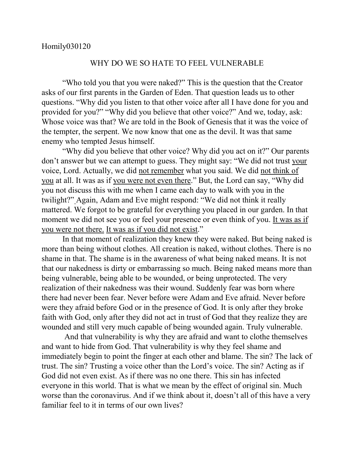## WHY DO WE SO HATE TO FEEL VULNERABLE

"Who told you that you were naked?" This is the question that the Creator asks of our first parents in the Garden of Eden. That question leads us to other questions. "Why did you listen to that other voice after all I have done for you and provided for you?" "Why did you believe that other voice?" And we, today, ask: Whose voice was that? We are told in the Book of Genesis that it was the voice of the tempter, the serpent. We now know that one as the devil. It was that same enemy who tempted Jesus himself.

"Why did you believe that other voice? Why did you act on it?" Our parents don't answer but we can attempt to guess. They might say: "We did not trust your voice, Lord. Actually, we did not remember what you said. We did not think of you at all. It was as if you were not even there." But, the Lord can say, "Why did you not discuss this with me when I came each day to walk with you in the twilight?" Again, Adam and Eve might respond: "We did not think it really mattered. We forgot to be grateful for everything you placed in our garden. In that moment we did not see you or feel your presence or even think of you. It was as if you were not there. It was as if you did not exist."

In that moment of realization they knew they were naked. But being naked is more than being without clothes. All creation is naked, without clothes. There is no shame in that. The shame is in the awareness of what being naked means. It is not that our nakedness is dirty or embarrassing so much. Being naked means more than being vulnerable, being able to be wounded, or being unprotected. The very realization of their nakedness was their wound. Suddenly fear was born where there had never been fear. Never before were Adam and Eve afraid. Never before were they afraid before God or in the presence of God. It is only after they broke faith with God, only after they did not act in trust of God that they realize they are wounded and still very much capable of being wounded again. Truly vulnerable.

And that vulnerability is why they are afraid and want to clothe themselves and want to hide from God. That vulnerability is why they feel shame and immediately begin to point the finger at each other and blame. The sin? The lack of trust. The sin? Trusting a voice other than the Lord's voice. The sin? Acting as if God did not even exist. As if there was no one there. This sin has infected everyone in this world. That is what we mean by the effect of original sin. Much worse than the coronavirus. And if we think about it, doesn't all of this have a very familiar feel to it in terms of our own lives?